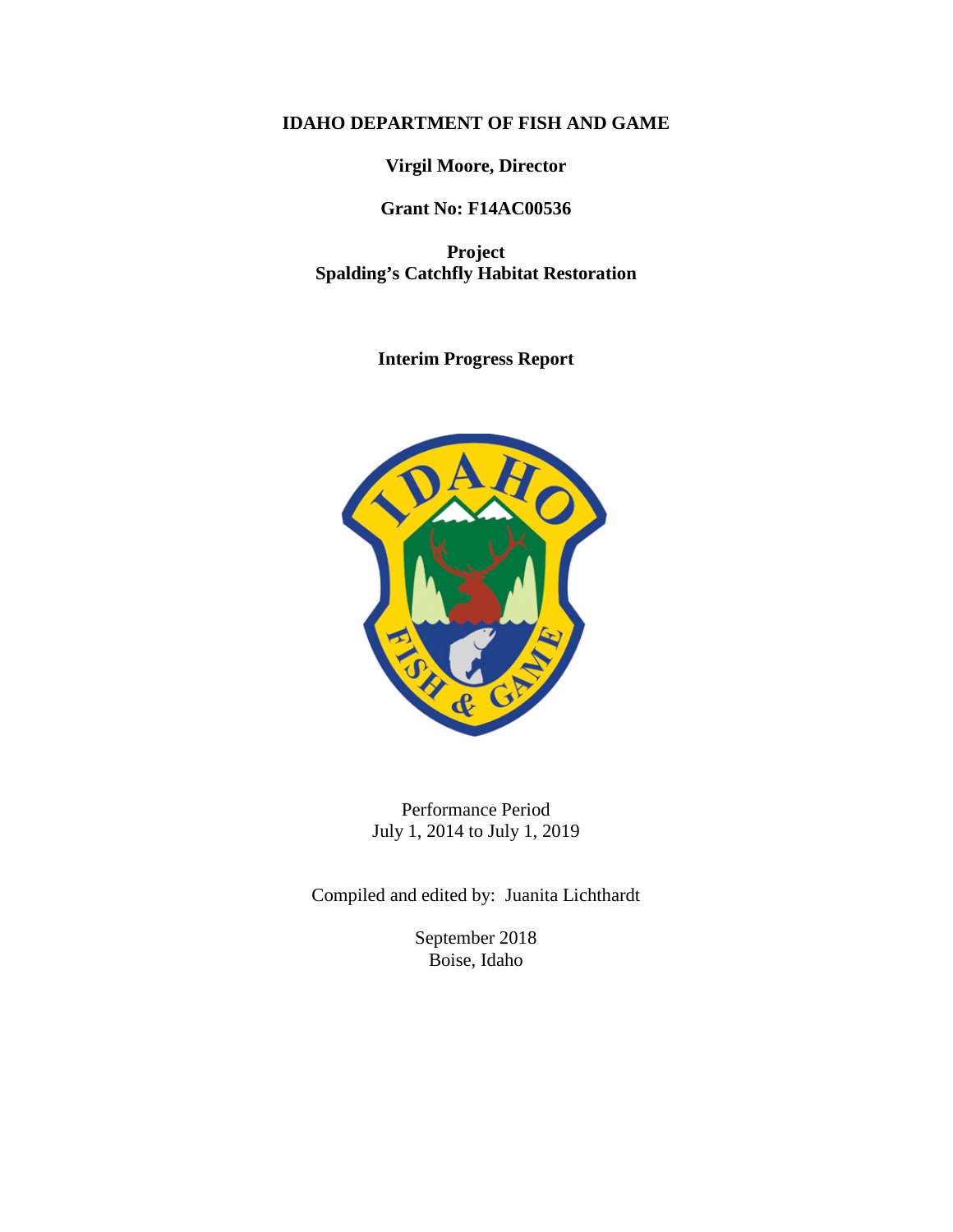# **IDAHO DEPARTMENT OF FISH AND GAME**

**Virgil Moore, Director**

# **Grant No: F14AC00536**

**Project Spalding's Catchfly Habitat Restoration**

**Interim Progress Report**



Performance Period July 1, 2014 to July 1, 2019

Compiled and edited by: Juanita Lichthardt

September 2018 Boise, Idaho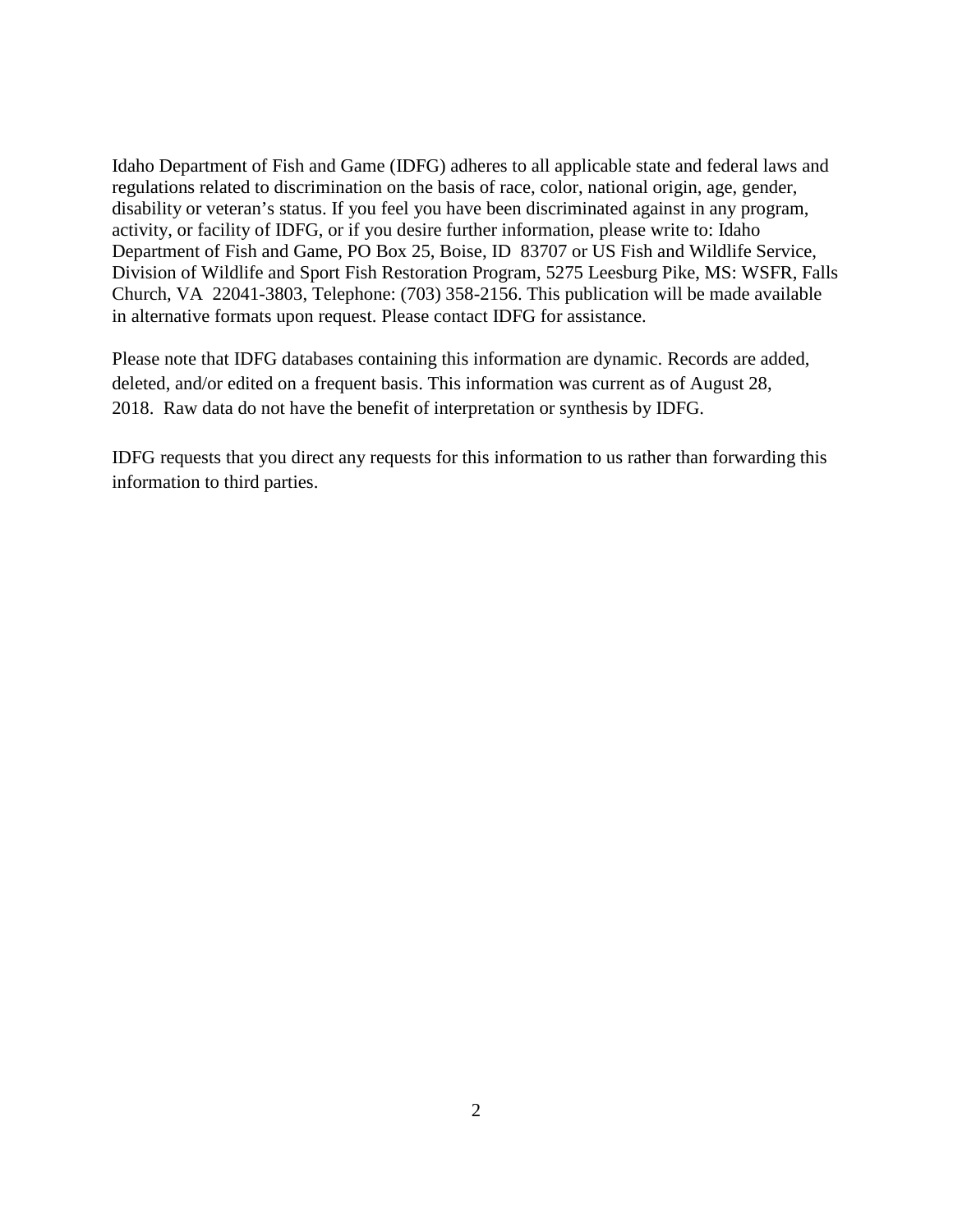Idaho Department of Fish and Game (IDFG) adheres to all applicable state and federal laws and regulations related to discrimination on the basis of race, color, national origin, age, gender, disability or veteran's status. If you feel you have been discriminated against in any program, activity, or facility of IDFG, or if you desire further information, please write to: Idaho Department of Fish and Game, PO Box 25, Boise, ID 83707 or US Fish and Wildlife Service, Division of Wildlife and Sport Fish Restoration Program, 5275 Leesburg Pike, MS: WSFR, Falls Church, VA 22041-3803, Telephone: (703) 358-2156. This publication will be made available in alternative formats upon request. Please contact IDFG for assistance.

Please note that IDFG databases containing this information are dynamic. Records are added, deleted, and/or edited on a frequent basis. This information was current as of August 28, 2018. Raw data do not have the benefit of interpretation or synthesis by IDFG.

IDFG requests that you direct any requests for this information to us rather than forwarding this information to third parties.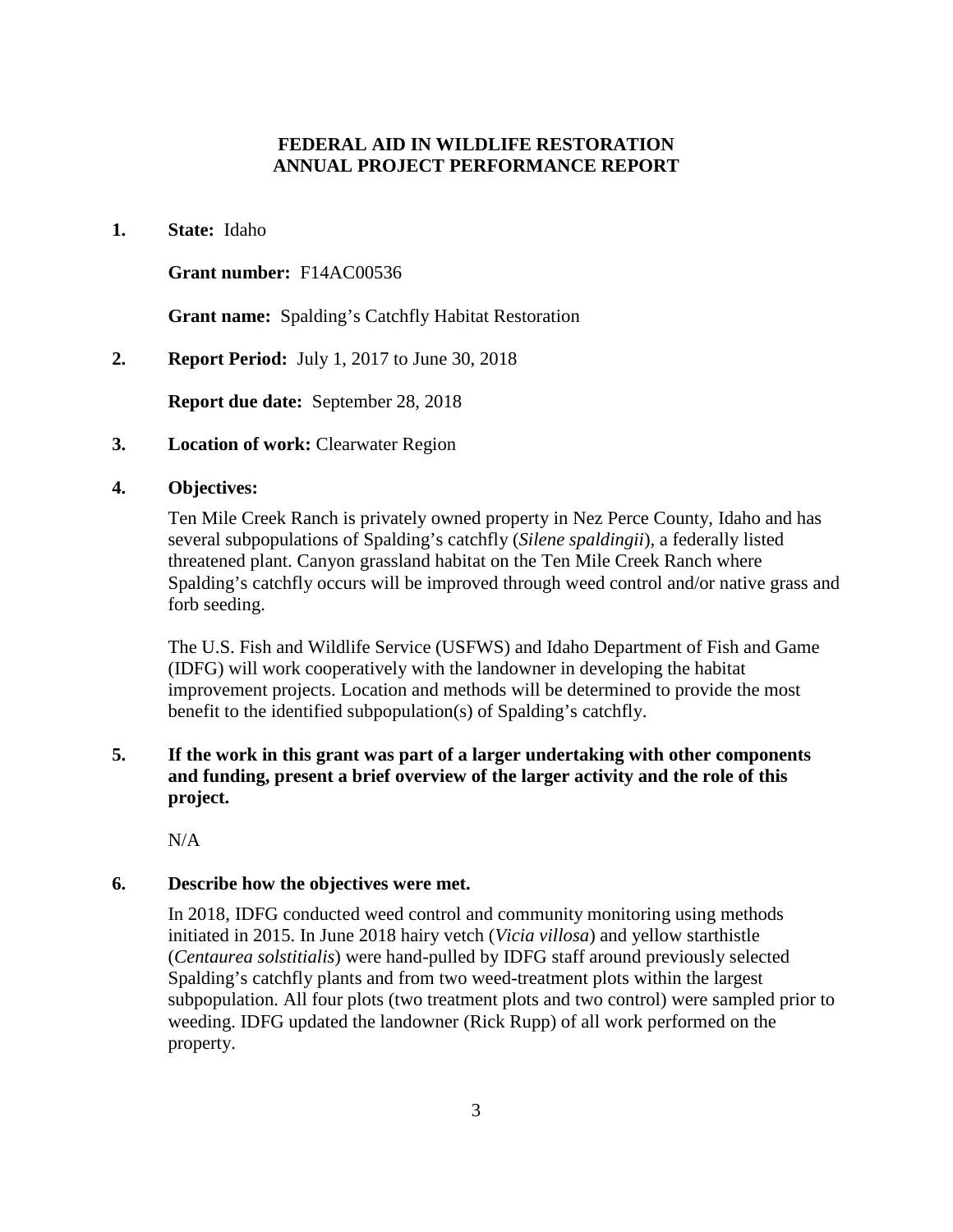### **FEDERAL AID IN WILDLIFE RESTORATION ANNUAL PROJECT PERFORMANCE REPORT**

#### **1. State:** Idaho

#### **Grant number:** F14AC00536

**Grant name:** Spalding's Catchfly Habitat Restoration

**2. Report Period:** July 1, 2017 to June 30, 2018

**Report due date:** September 28, 2018

**3. Location of work:** Clearwater Region

#### **4. Objectives:**

Ten Mile Creek Ranch is privately owned property in Nez Perce County, Idaho and has several subpopulations of Spalding's catchfly (*Silene spaldingii*), a federally listed threatened plant. Canyon grassland habitat on the Ten Mile Creek Ranch where Spalding's catchfly occurs will be improved through weed control and/or native grass and forb seeding.

The U.S. Fish and Wildlife Service (USFWS) and Idaho Department of Fish and Game (IDFG) will work cooperatively with the landowner in developing the habitat improvement projects. Location and methods will be determined to provide the most benefit to the identified subpopulation(s) of Spalding's catchfly.

# **5. If the work in this grant was part of a larger undertaking with other components and funding, present a brief overview of the larger activity and the role of this project.**

N/A

#### **6. Describe how the objectives were met.**

In 2018, IDFG conducted weed control and community monitoring using methods initiated in 2015. In June 2018 hairy vetch (*Vicia villosa*) and yellow starthistle (*Centaurea solstitialis*) were hand-pulled by IDFG staff around previously selected Spalding's catchfly plants and from two weed-treatment plots within the largest subpopulation. All four plots (two treatment plots and two control) were sampled prior to weeding. IDFG updated the landowner (Rick Rupp) of all work performed on the property.